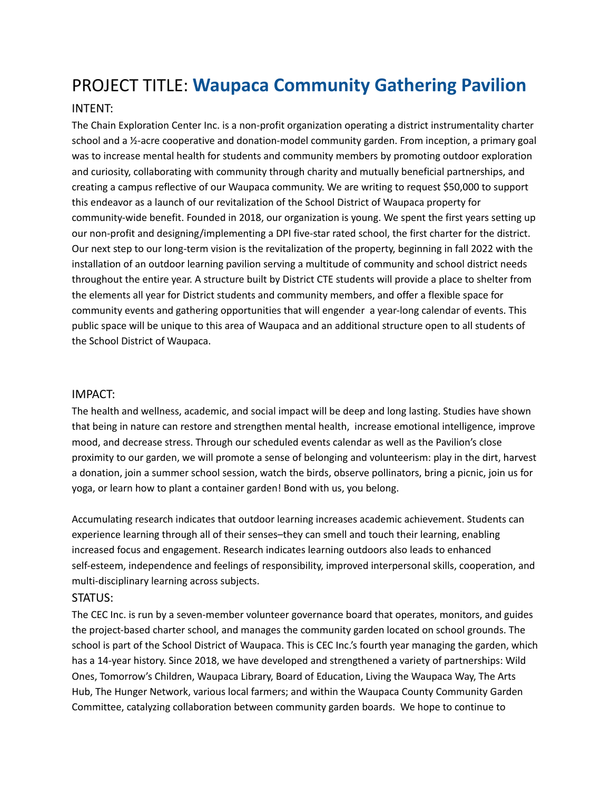# PROJECT TITLE: **Waupaca Community Gathering Pavilion**

### INTENT:

The Chain Exploration Center Inc. is a non-profit organization operating a district instrumentality charter school and a ½-acre cooperative and donation-model community garden. From inception, a primary goal was to increase mental health for students and community members by promoting outdoor exploration and curiosity, collaborating with community through charity and mutually beneficial partnerships, and creating a campus reflective of our Waupaca community. We are writing to request \$50,000 to support this endeavor as a launch of our revitalization of the School District of Waupaca property for community-wide benefit. Founded in 2018, our organization is young. We spent the first years setting up our non-profit and designing/implementing a DPI five-star rated school, the first charter for the district. Our next step to our long-term vision is the revitalization of the property, beginning in fall 2022 with the installation of an outdoor learning pavilion serving a multitude of community and school district needs throughout the entire year. A structure built by District CTE students will provide a place to shelter from the elements all year for District students and community members, and offer a flexible space for community events and gathering opportunities that will engender a year-long calendar of events. This public space will be unique to this area of Waupaca and an additional structure open to all students of the School District of Waupaca.

#### IMPACT:

The health and wellness, academic, and social impact will be deep and long lasting. Studies have shown that being in nature can restore and strengthen mental health, increase emotional intelligence, improve mood, and decrease stress. Through our scheduled events calendar as well as the Pavilion's close proximity to our garden, we will promote a sense of belonging and volunteerism: play in the dirt, harvest a donation, join a summer school session, watch the birds, observe pollinators, bring a picnic, join us for yoga, or learn how to plant a container garden! Bond with us, you belong.

Accumulating research indicates that outdoor learning increases academic achievement. Students can experience learning through all of their senses–they can smell and touch their learning, enabling increased focus and engagement. Research indicates learning outdoors also leads to enhanced self-esteem, independence and feelings of responsibility, improved interpersonal skills, cooperation, and multi-disciplinary learning across subjects.

#### STATUS:

The CEC Inc. is run by a seven-member volunteer governance board that operates, monitors, and guides the project-based charter school, and manages the community garden located on school grounds. The school is part of the School District of Waupaca. This is CEC Inc.'s fourth year managing the garden, which has a 14-year history. Since 2018, we have developed and strengthened a variety of partnerships: Wild Ones, Tomorrow's Children, Waupaca Library, Board of Education, Living the Waupaca Way, The Arts Hub, The Hunger Network, various local farmers; and within the Waupaca County Community Garden Committee, catalyzing collaboration between community garden boards. We hope to continue to